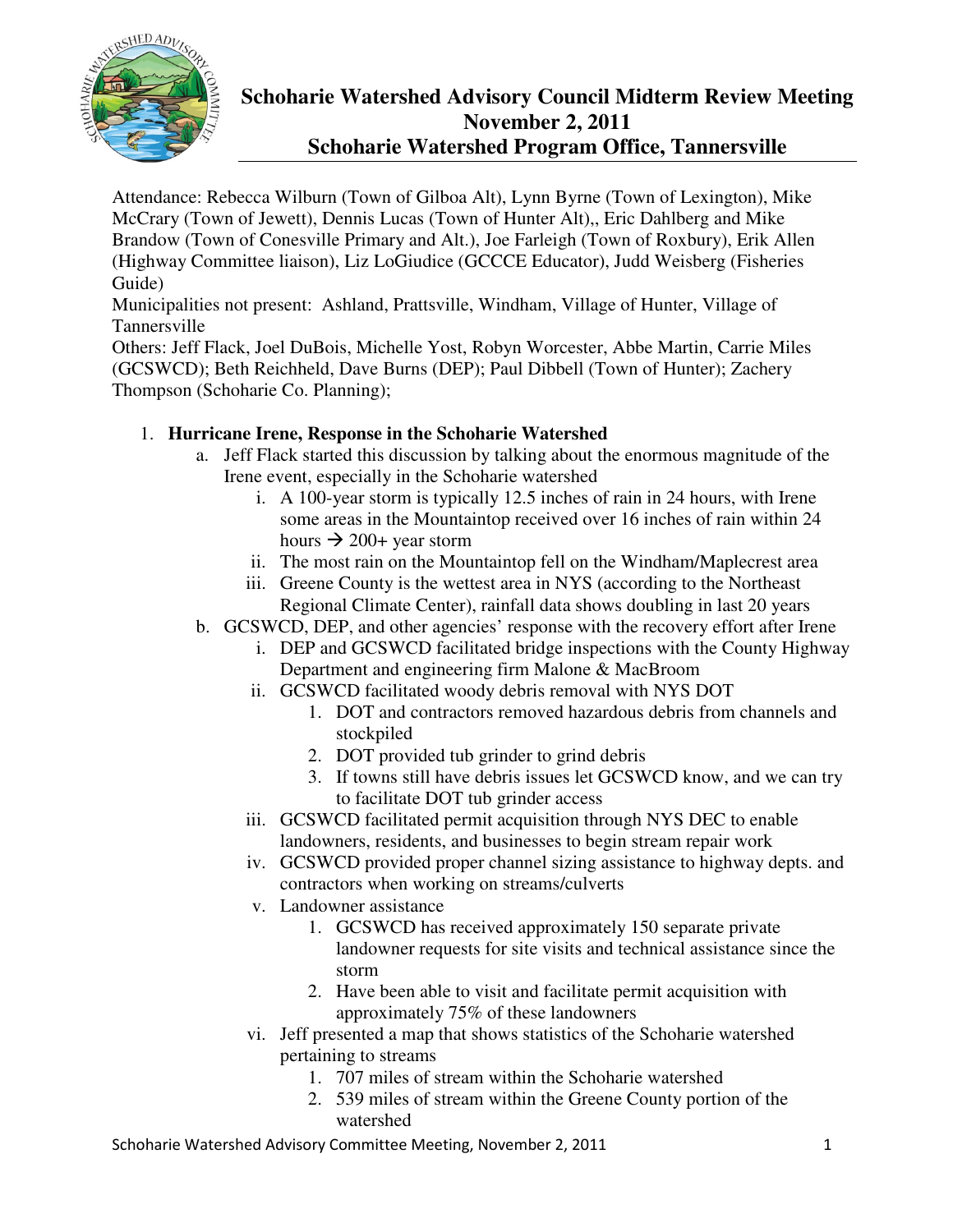

# **Schoharie Watershed Advisory Council Midterm Review Meeting November 2, 2011 Schoharie Watershed Program Office, Tannersville**

Attendance: Rebecca Wilburn (Town of Gilboa Alt), Lynn Byrne (Town of Lexington), Mike McCrary (Town of Jewett), Dennis Lucas (Town of Hunter Alt),, Eric Dahlberg and Mike Brandow (Town of Conesville Primary and Alt.), Joe Farleigh (Town of Roxbury), Erik Allen (Highway Committee liaison), Liz LoGiudice (GCCCE Educator), Judd Weisberg (Fisheries Guide)

Municipalities not present: Ashland, Prattsville, Windham, Village of Hunter, Village of Tannersville

Others: Jeff Flack, Joel DuBois, Michelle Yost, Robyn Worcester, Abbe Martin, Carrie Miles (GCSWCD); Beth Reichheld, Dave Burns (DEP); Paul Dibbell (Town of Hunter); Zachery Thompson (Schoharie Co. Planning);

## 1. **Hurricane Irene, Response in the Schoharie Watershed**

- a. Jeff Flack started this discussion by talking about the enormous magnitude of the Irene event, especially in the Schoharie watershed
	- i. A 100-year storm is typically 12.5 inches of rain in 24 hours, with Irene some areas in the Mountaintop received over 16 inches of rain within 24 hours  $\rightarrow$  200+ year storm
	- ii. The most rain on the Mountaintop fell on the Windham/Maplecrest area
	- iii. Greene County is the wettest area in NYS (according to the Northeast Regional Climate Center), rainfall data shows doubling in last 20 years
- b. GCSWCD, DEP, and other agencies' response with the recovery effort after Irene
	- i. DEP and GCSWCD facilitated bridge inspections with the County Highway Department and engineering firm Malone & MacBroom
	- ii. GCSWCD facilitated woody debris removal with NYS DOT
		- 1. DOT and contractors removed hazardous debris from channels and stockpiled
		- 2. DOT provided tub grinder to grind debris
		- 3. If towns still have debris issues let GCSWCD know, and we can try to facilitate DOT tub grinder access
	- iii. GCSWCD facilitated permit acquisition through NYS DEC to enable landowners, residents, and businesses to begin stream repair work
	- iv. GCSWCD provided proper channel sizing assistance to highway depts. and contractors when working on streams/culverts
	- v. Landowner assistance
		- 1. GCSWCD has received approximately 150 separate private landowner requests for site visits and technical assistance since the storm
		- 2. Have been able to visit and facilitate permit acquisition with approximately 75% of these landowners
	- vi. Jeff presented a map that shows statistics of the Schoharie watershed pertaining to streams
		- 1. 707 miles of stream within the Schoharie watershed
		- 2. 539 miles of stream within the Greene County portion of the watershed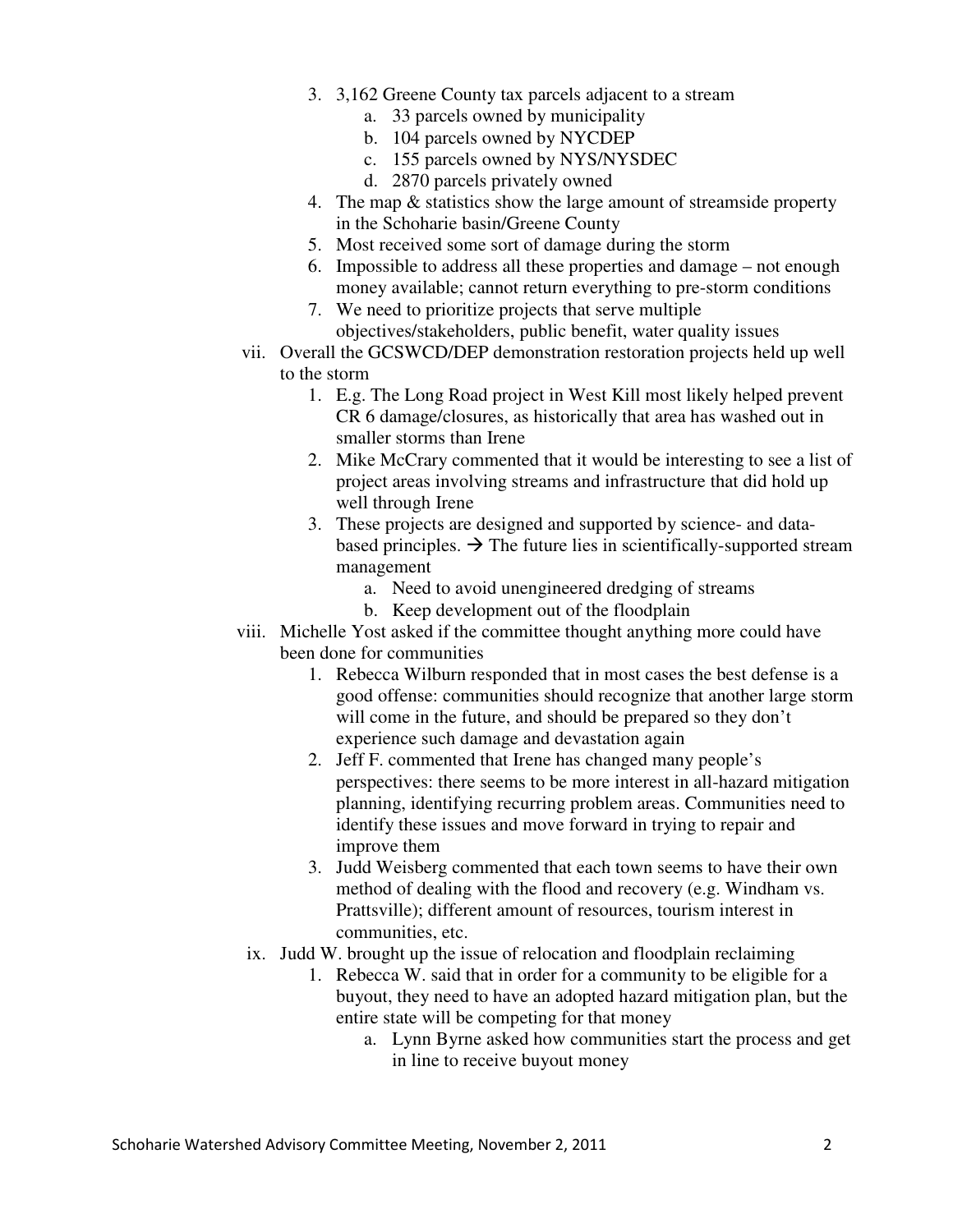- 3. 3,162 Greene County tax parcels adjacent to a stream
	- a. 33 parcels owned by municipality
	- b. 104 parcels owned by NYCDEP
	- c. 155 parcels owned by NYS/NYSDEC
	- d. 2870 parcels privately owned
- 4. The map & statistics show the large amount of streamside property in the Schoharie basin/Greene County
- 5. Most received some sort of damage during the storm
- 6. Impossible to address all these properties and damage not enough money available; cannot return everything to pre-storm conditions
- 7. We need to prioritize projects that serve multiple objectives/stakeholders, public benefit, water quality issues
- vii. Overall the GCSWCD/DEP demonstration restoration projects held up well to the storm
	- 1. E.g. The Long Road project in West Kill most likely helped prevent CR 6 damage/closures, as historically that area has washed out in smaller storms than Irene
	- 2. Mike McCrary commented that it would be interesting to see a list of project areas involving streams and infrastructure that did hold up well through Irene
	- 3. These projects are designed and supported by science- and databased principles.  $\rightarrow$  The future lies in scientifically-supported stream management
		- a. Need to avoid unengineered dredging of streams
		- b. Keep development out of the floodplain
- viii. Michelle Yost asked if the committee thought anything more could have been done for communities
	- 1. Rebecca Wilburn responded that in most cases the best defense is a good offense: communities should recognize that another large storm will come in the future, and should be prepared so they don't experience such damage and devastation again
	- 2. Jeff F. commented that Irene has changed many people's perspectives: there seems to be more interest in all-hazard mitigation planning, identifying recurring problem areas. Communities need to identify these issues and move forward in trying to repair and improve them
	- 3. Judd Weisberg commented that each town seems to have their own method of dealing with the flood and recovery (e.g. Windham vs. Prattsville); different amount of resources, tourism interest in communities, etc.
- ix. Judd W. brought up the issue of relocation and floodplain reclaiming
	- 1. Rebecca W. said that in order for a community to be eligible for a buyout, they need to have an adopted hazard mitigation plan, but the entire state will be competing for that money
		- a. Lynn Byrne asked how communities start the process and get in line to receive buyout money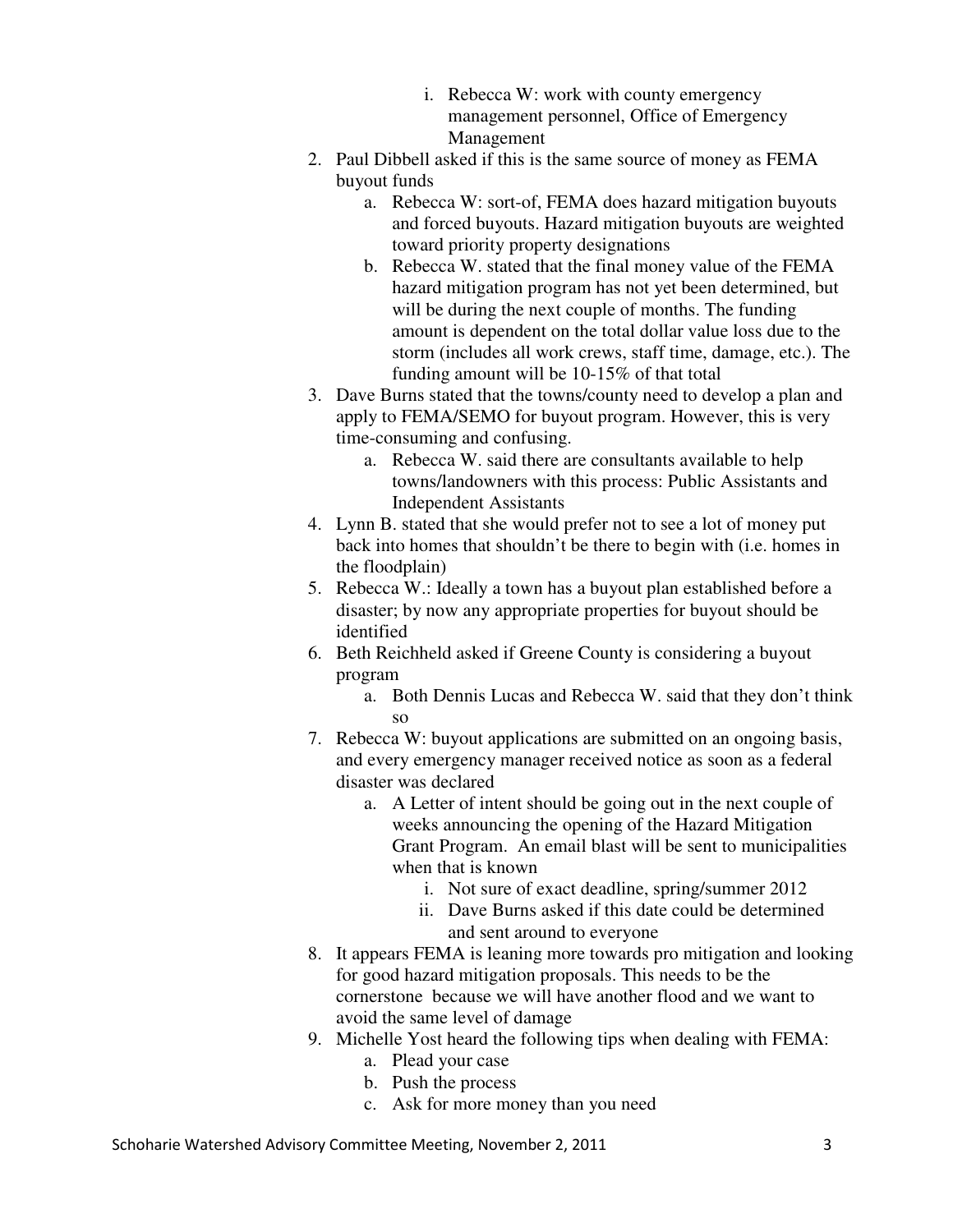- i. Rebecca W: work with county emergency management personnel, Office of Emergency Management
- 2. Paul Dibbell asked if this is the same source of money as FEMA buyout funds
	- a. Rebecca W: sort-of, FEMA does hazard mitigation buyouts and forced buyouts. Hazard mitigation buyouts are weighted toward priority property designations
	- b. Rebecca W. stated that the final money value of the FEMA hazard mitigation program has not yet been determined, but will be during the next couple of months. The funding amount is dependent on the total dollar value loss due to the storm (includes all work crews, staff time, damage, etc.). The funding amount will be 10-15% of that total
- 3. Dave Burns stated that the towns/county need to develop a plan and apply to FEMA/SEMO for buyout program. However, this is very time-consuming and confusing.
	- a. Rebecca W. said there are consultants available to help towns/landowners with this process: Public Assistants and Independent Assistants
- 4. Lynn B. stated that she would prefer not to see a lot of money put back into homes that shouldn't be there to begin with (i.e. homes in the floodplain)
- 5. Rebecca W.: Ideally a town has a buyout plan established before a disaster; by now any appropriate properties for buyout should be identified
- 6. Beth Reichheld asked if Greene County is considering a buyout program
	- a. Both Dennis Lucas and Rebecca W. said that they don't think so
- 7. Rebecca W: buyout applications are submitted on an ongoing basis, and every emergency manager received notice as soon as a federal disaster was declared
	- a. A Letter of intent should be going out in the next couple of weeks announcing the opening of the Hazard Mitigation Grant Program. An email blast will be sent to municipalities when that is known
		- i. Not sure of exact deadline, spring/summer 2012
		- ii. Dave Burns asked if this date could be determined and sent around to everyone
- 8. It appears FEMA is leaning more towards pro mitigation and looking for good hazard mitigation proposals. This needs to be the cornerstone because we will have another flood and we want to avoid the same level of damage
- 9. Michelle Yost heard the following tips when dealing with FEMA:
	- a. Plead your case
	- b. Push the process
	- c. Ask for more money than you need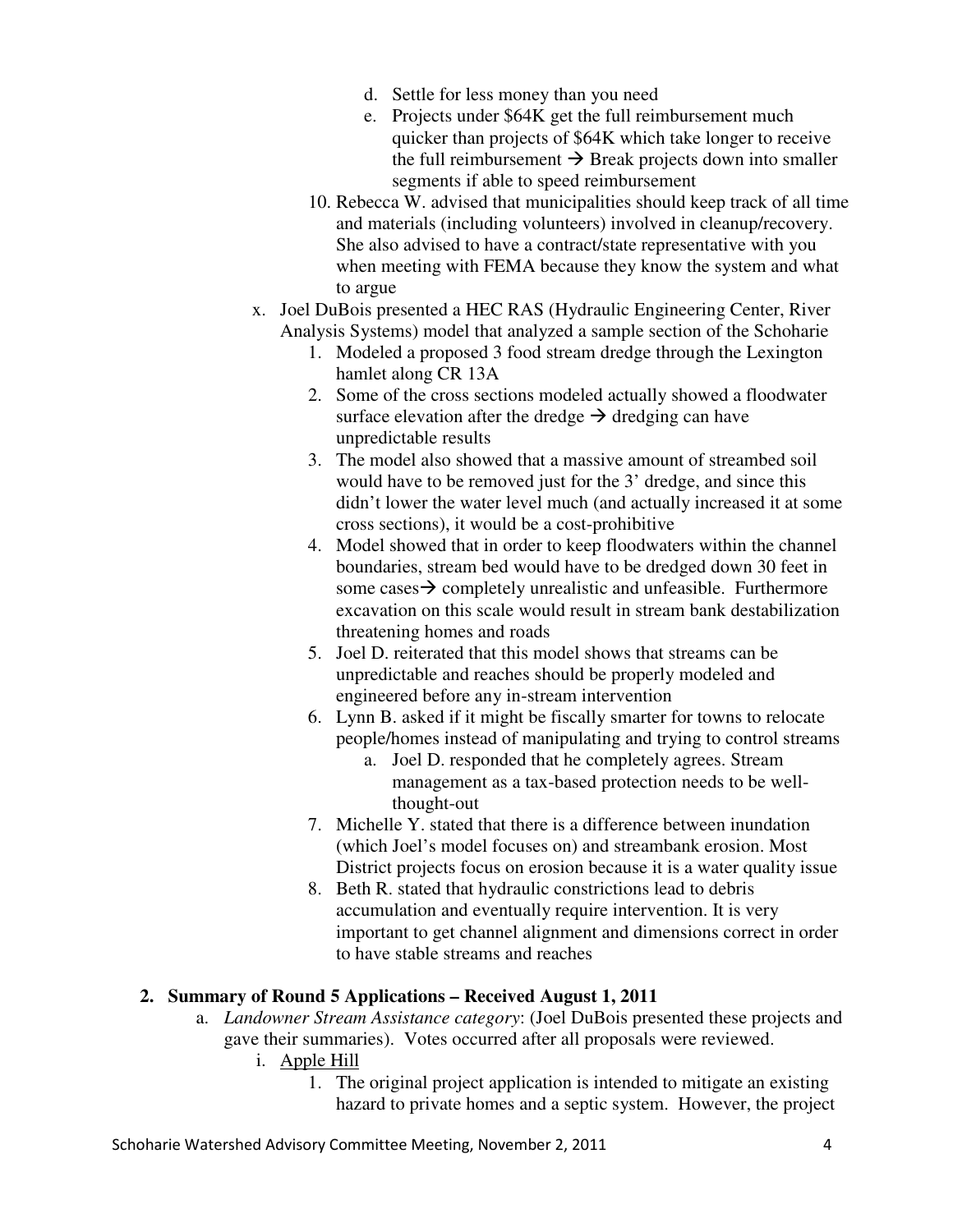- d. Settle for less money than you need
- e. Projects under \$64K get the full reimbursement much quicker than projects of \$64K which take longer to receive the full reimbursement  $\rightarrow$  Break projects down into smaller segments if able to speed reimbursement
- 10. Rebecca W. advised that municipalities should keep track of all time and materials (including volunteers) involved in cleanup/recovery. She also advised to have a contract/state representative with you when meeting with FEMA because they know the system and what to argue
- x. Joel DuBois presented a HEC RAS (Hydraulic Engineering Center, River Analysis Systems) model that analyzed a sample section of the Schoharie
	- 1. Modeled a proposed 3 food stream dredge through the Lexington hamlet along CR 13A
	- 2. Some of the cross sections modeled actually showed a floodwater surface elevation after the dredge  $\rightarrow$  dredging can have unpredictable results
	- 3. The model also showed that a massive amount of streambed soil would have to be removed just for the 3' dredge, and since this didn't lower the water level much (and actually increased it at some cross sections), it would be a cost-prohibitive
	- 4. Model showed that in order to keep floodwaters within the channel boundaries, stream bed would have to be dredged down 30 feet in some cases  $\rightarrow$  completely unrealistic and unfeasible. Furthermore excavation on this scale would result in stream bank destabilization threatening homes and roads
	- 5. Joel D. reiterated that this model shows that streams can be unpredictable and reaches should be properly modeled and engineered before any in-stream intervention
	- 6. Lynn B. asked if it might be fiscally smarter for towns to relocate people/homes instead of manipulating and trying to control streams
		- a. Joel D. responded that he completely agrees. Stream management as a tax-based protection needs to be wellthought-out
	- 7. Michelle Y. stated that there is a difference between inundation (which Joel's model focuses on) and streambank erosion. Most District projects focus on erosion because it is a water quality issue
	- 8. Beth R. stated that hydraulic constrictions lead to debris accumulation and eventually require intervention. It is very important to get channel alignment and dimensions correct in order to have stable streams and reaches

### **2. Summary of Round 5 Applications – Received August 1, 2011**

- a. *Landowner Stream Assistance category*: (Joel DuBois presented these projects and gave their summaries). Votes occurred after all proposals were reviewed.
	- i. Apple Hill
		- 1. The original project application is intended to mitigate an existing hazard to private homes and a septic system. However, the project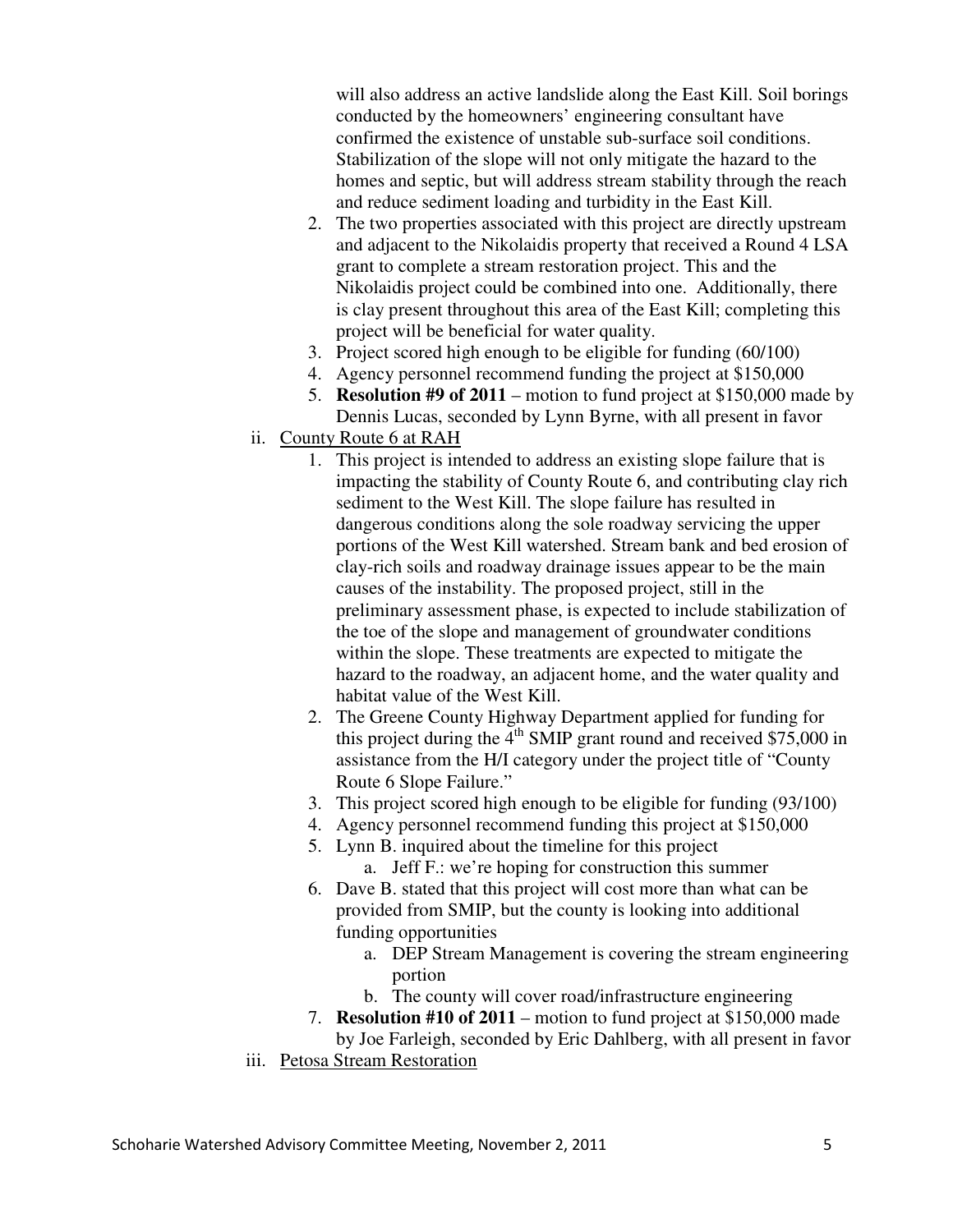will also address an active landslide along the East Kill. Soil borings conducted by the homeowners' engineering consultant have confirmed the existence of unstable sub-surface soil conditions. Stabilization of the slope will not only mitigate the hazard to the homes and septic, but will address stream stability through the reach and reduce sediment loading and turbidity in the East Kill.

- 2. The two properties associated with this project are directly upstream and adjacent to the Nikolaidis property that received a Round 4 LSA grant to complete a stream restoration project. This and the Nikolaidis project could be combined into one. Additionally, there is clay present throughout this area of the East Kill; completing this project will be beneficial for water quality.
- 3. Project scored high enough to be eligible for funding (60/100)
- 4. Agency personnel recommend funding the project at \$150,000
- 5. **Resolution #9 of 2011** motion to fund project at \$150,000 made by Dennis Lucas, seconded by Lynn Byrne, with all present in favor
- ii. County Route 6 at RAH
	- 1. This project is intended to address an existing slope failure that is impacting the stability of County Route 6, and contributing clay rich sediment to the West Kill. The slope failure has resulted in dangerous conditions along the sole roadway servicing the upper portions of the West Kill watershed. Stream bank and bed erosion of clay-rich soils and roadway drainage issues appear to be the main causes of the instability. The proposed project, still in the preliminary assessment phase, is expected to include stabilization of the toe of the slope and management of groundwater conditions within the slope. These treatments are expected to mitigate the hazard to the roadway, an adjacent home, and the water quality and habitat value of the West Kill.
	- 2. The Greene County Highway Department applied for funding for this project during the  $4<sup>th</sup>$  SMIP grant round and received \$75,000 in assistance from the H/I category under the project title of "County Route 6 Slope Failure."
	- 3. This project scored high enough to be eligible for funding (93/100)
	- 4. Agency personnel recommend funding this project at \$150,000
	- 5. Lynn B. inquired about the timeline for this project a. Jeff F.: we're hoping for construction this summer
	- 6. Dave B. stated that this project will cost more than what can be provided from SMIP, but the county is looking into additional funding opportunities
		- a. DEP Stream Management is covering the stream engineering portion
		- b. The county will cover road/infrastructure engineering
	- 7. **Resolution #10 of 2011** motion to fund project at \$150,000 made
	- by Joe Farleigh, seconded by Eric Dahlberg, with all present in favor
- iii. Petosa Stream Restoration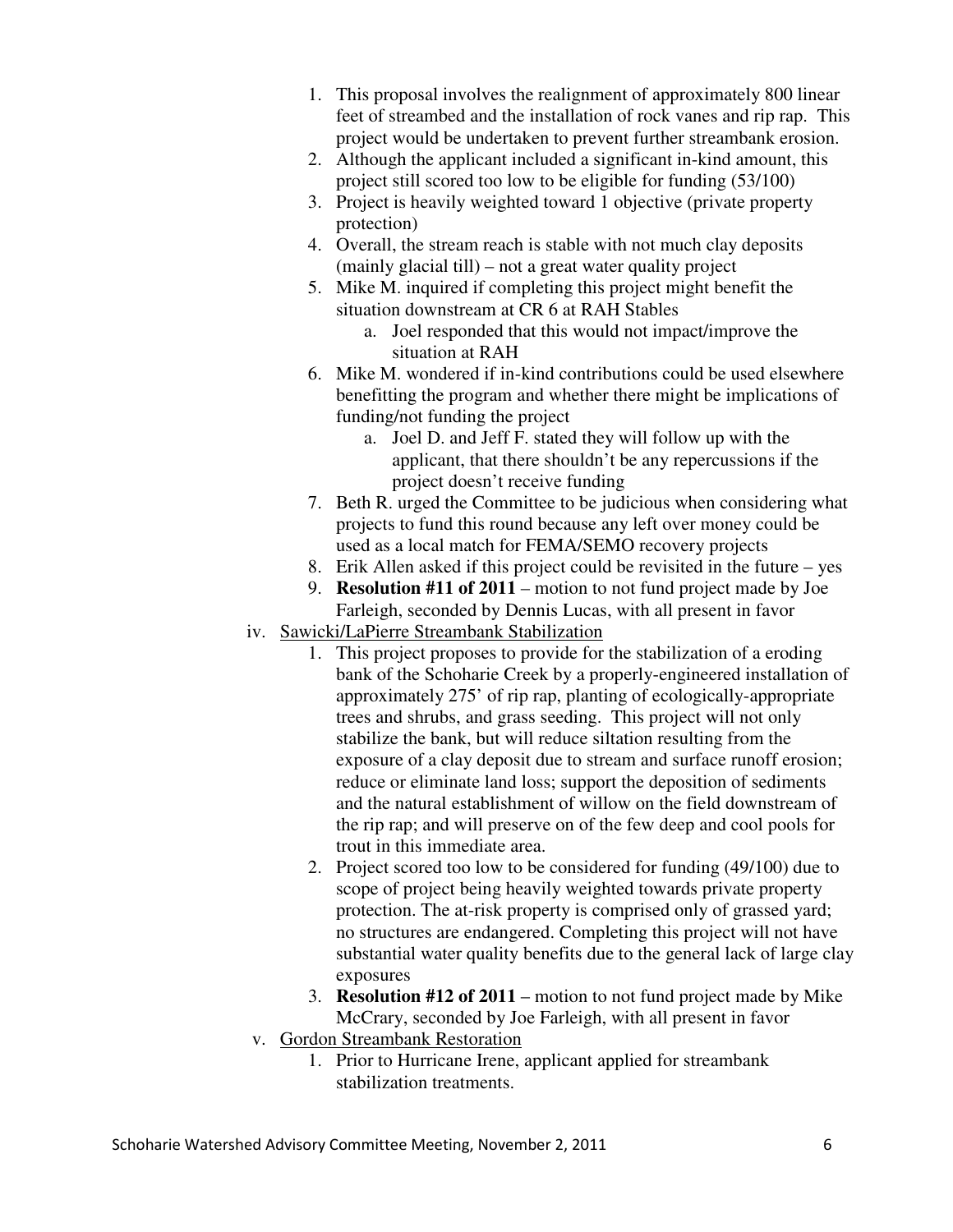- 1. This proposal involves the realignment of approximately 800 linear feet of streambed and the installation of rock vanes and rip rap. This project would be undertaken to prevent further streambank erosion.
- 2. Although the applicant included a significant in-kind amount, this project still scored too low to be eligible for funding (53/100)
- 3. Project is heavily weighted toward 1 objective (private property protection)
- 4. Overall, the stream reach is stable with not much clay deposits (mainly glacial till) – not a great water quality project
- 5. Mike M. inquired if completing this project might benefit the situation downstream at CR 6 at RAH Stables
	- a. Joel responded that this would not impact/improve the situation at RAH
- 6. Mike M. wondered if in-kind contributions could be used elsewhere benefitting the program and whether there might be implications of funding/not funding the project
	- a. Joel D. and Jeff F. stated they will follow up with the applicant, that there shouldn't be any repercussions if the project doesn't receive funding
- 7. Beth R. urged the Committee to be judicious when considering what projects to fund this round because any left over money could be used as a local match for FEMA/SEMO recovery projects
- 8. Erik Allen asked if this project could be revisited in the future yes
- 9. **Resolution #11 of 2011**  motion to not fund project made by Joe Farleigh, seconded by Dennis Lucas, with all present in favor
- iv. Sawicki/LaPierre Streambank Stabilization
	- 1. This project proposes to provide for the stabilization of a eroding bank of the Schoharie Creek by a properly-engineered installation of approximately 275' of rip rap, planting of ecologically-appropriate trees and shrubs, and grass seeding. This project will not only stabilize the bank, but will reduce siltation resulting from the exposure of a clay deposit due to stream and surface runoff erosion; reduce or eliminate land loss; support the deposition of sediments and the natural establishment of willow on the field downstream of the rip rap; and will preserve on of the few deep and cool pools for trout in this immediate area.
	- 2. Project scored too low to be considered for funding (49/100) due to scope of project being heavily weighted towards private property protection. The at-risk property is comprised only of grassed yard; no structures are endangered. Completing this project will not have substantial water quality benefits due to the general lack of large clay exposures
	- 3. **Resolution #12 of 2011** motion to not fund project made by Mike McCrary, seconded by Joe Farleigh, with all present in favor
- v. Gordon Streambank Restoration
	- 1. Prior to Hurricane Irene, applicant applied for streambank stabilization treatments.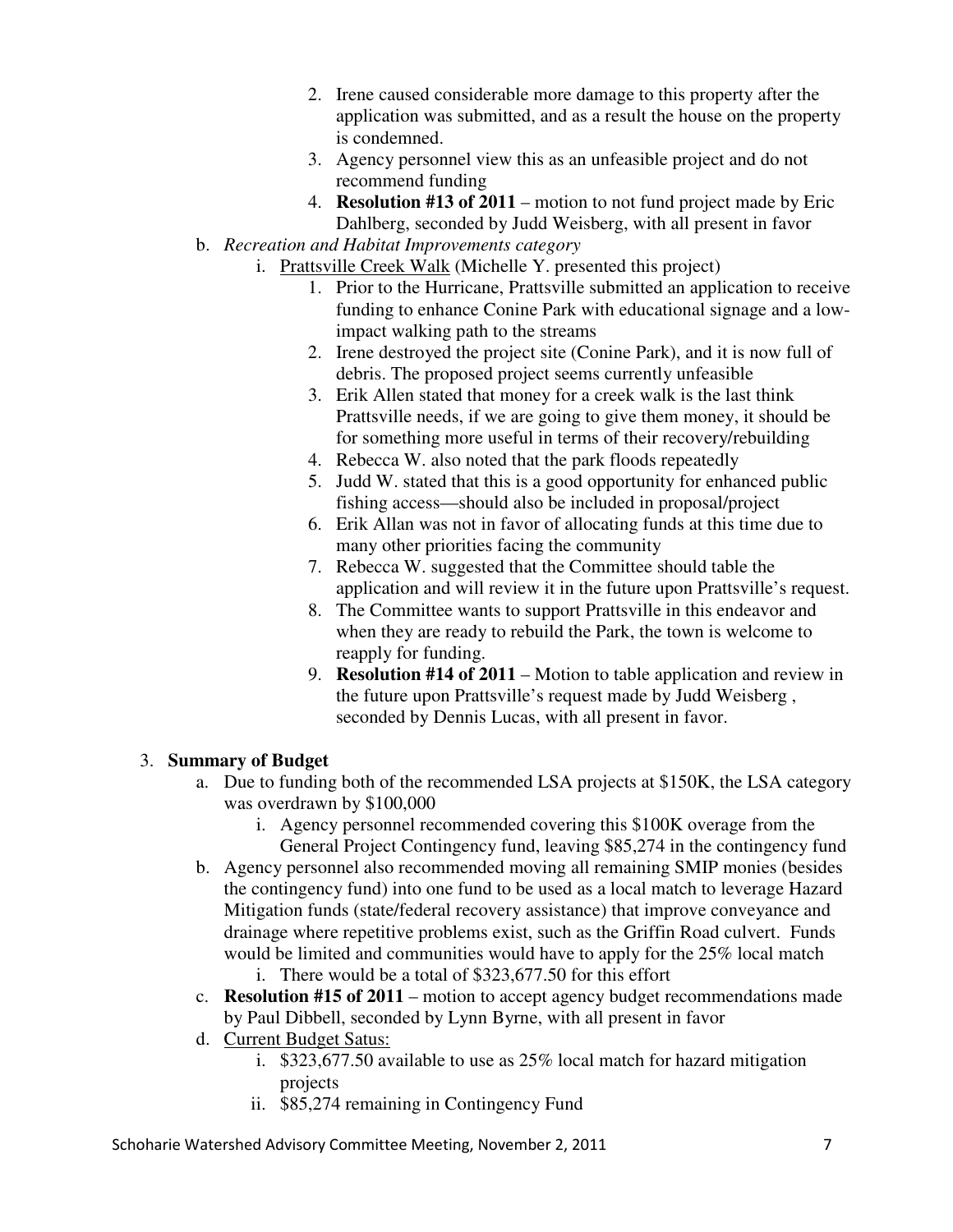- 2. Irene caused considerable more damage to this property after the application was submitted, and as a result the house on the property is condemned.
- 3. Agency personnel view this as an unfeasible project and do not recommend funding
- 4. **Resolution #13 of 2011** motion to not fund project made by Eric Dahlberg, seconded by Judd Weisberg, with all present in favor
- b. *Recreation and Habitat Improvements category*
	- i. Prattsville Creek Walk (Michelle Y. presented this project)
		- 1. Prior to the Hurricane, Prattsville submitted an application to receive funding to enhance Conine Park with educational signage and a lowimpact walking path to the streams
		- 2. Irene destroyed the project site (Conine Park), and it is now full of debris. The proposed project seems currently unfeasible
		- 3. Erik Allen stated that money for a creek walk is the last think Prattsville needs, if we are going to give them money, it should be for something more useful in terms of their recovery/rebuilding
		- 4. Rebecca W. also noted that the park floods repeatedly
		- 5. Judd W. stated that this is a good opportunity for enhanced public fishing access—should also be included in proposal/project
		- 6. Erik Allan was not in favor of allocating funds at this time due to many other priorities facing the community
		- 7. Rebecca W. suggested that the Committee should table the application and will review it in the future upon Prattsville's request.
		- 8. The Committee wants to support Prattsville in this endeavor and when they are ready to rebuild the Park, the town is welcome to reapply for funding.
		- 9. **Resolution #14 of 2011** Motion to table application and review in the future upon Prattsville's request made by Judd Weisberg , seconded by Dennis Lucas, with all present in favor.

## 3. **Summary of Budget**

- a. Due to funding both of the recommended LSA projects at \$150K, the LSA category was overdrawn by \$100,000
	- i. Agency personnel recommended covering this \$100K overage from the General Project Contingency fund, leaving \$85,274 in the contingency fund
- b. Agency personnel also recommended moving all remaining SMIP monies (besides the contingency fund) into one fund to be used as a local match to leverage Hazard Mitigation funds (state/federal recovery assistance) that improve conveyance and drainage where repetitive problems exist, such as the Griffin Road culvert. Funds would be limited and communities would have to apply for the 25% local match i. There would be a total of \$323,677.50 for this effort
- c. **Resolution #15 of 2011** motion to accept agency budget recommendations made by Paul Dibbell, seconded by Lynn Byrne, with all present in favor
- d. Current Budget Satus:
	- i. \$323,677.50 available to use as 25% local match for hazard mitigation projects
	- ii. \$85,274 remaining in Contingency Fund